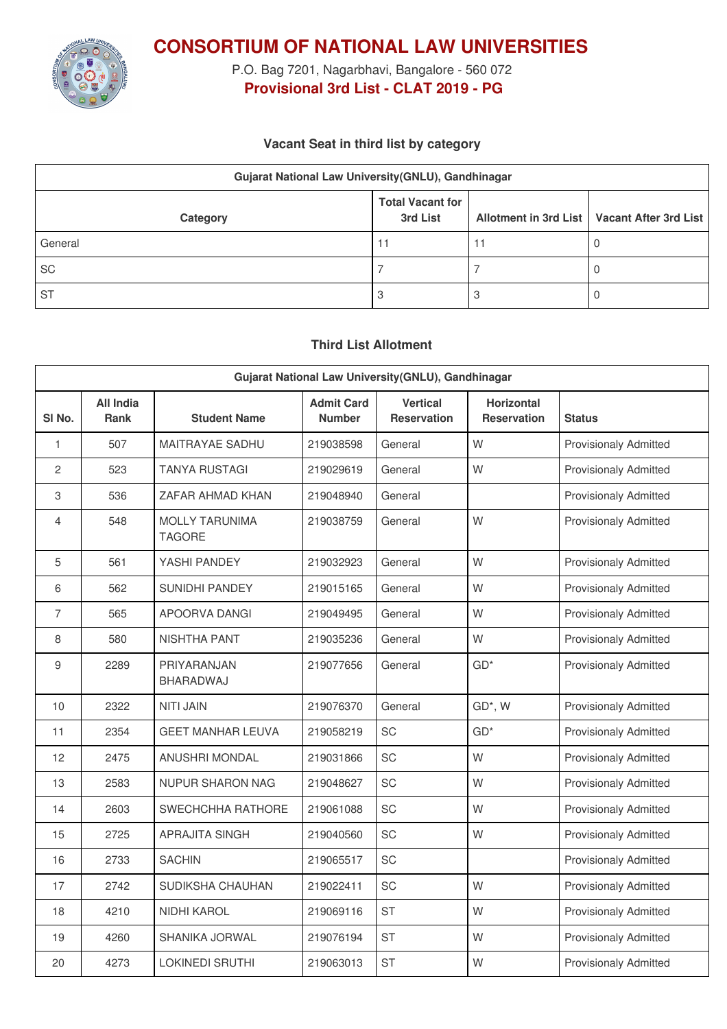

**CONSORTIUM OF NATIONAL LAW UNIVERSITIES**

P.O. Bag 7201, Nagarbhavi, Bangalore - 560 072 **Provisional 3rd List - CLAT 2019 - PG**

### **Vacant Seat in third list by category**

| Gujarat National Law University(GNLU), Gandhinagar |                                     |  |                                               |  |  |
|----------------------------------------------------|-------------------------------------|--|-----------------------------------------------|--|--|
| Category                                           | <b>Total Vacant for</b><br>3rd List |  | Allotment in 3rd List   Vacant After 3rd List |  |  |
| General                                            | 11                                  |  |                                               |  |  |
| SC                                                 |                                     |  |                                               |  |  |
| <b>ST</b>                                          |                                     |  |                                               |  |  |

### **Third List Allotment**

| Gujarat National Law University(GNLU), Gandhinagar |                                 |                                        |                                    |                                       |                                         |                              |
|----------------------------------------------------|---------------------------------|----------------------------------------|------------------------------------|---------------------------------------|-----------------------------------------|------------------------------|
| SI <sub>No.</sub>                                  | <b>All India</b><br><b>Rank</b> | <b>Student Name</b>                    | <b>Admit Card</b><br><b>Number</b> | <b>Vertical</b><br><b>Reservation</b> | <b>Horizontal</b><br><b>Reservation</b> | <b>Status</b>                |
| $\mathbf{1}$                                       | 507                             | <b>MAITRAYAE SADHU</b>                 | 219038598                          | General                               | W                                       | <b>Provisionaly Admitted</b> |
| $\overline{c}$                                     | 523                             | <b>TANYA RUSTAGI</b>                   | 219029619                          | General                               | W                                       | <b>Provisionaly Admitted</b> |
| 3                                                  | 536                             | ZAFAR AHMAD KHAN                       | 219048940                          | General                               |                                         | <b>Provisionaly Admitted</b> |
| 4                                                  | 548                             | <b>MOLLY TARUNIMA</b><br><b>TAGORE</b> | 219038759                          | General                               | W                                       | <b>Provisionaly Admitted</b> |
| 5                                                  | 561                             | YASHI PANDEY                           | 219032923                          | General                               | W                                       | <b>Provisionaly Admitted</b> |
| 6                                                  | 562                             | SUNIDHI PANDEY                         | 219015165                          | General                               | W                                       | <b>Provisionaly Admitted</b> |
| $\overline{7}$                                     | 565                             | APOORVA DANGI                          | 219049495                          | General                               | W                                       | Provisionaly Admitted        |
| 8                                                  | 580                             | <b>NISHTHA PANT</b>                    | 219035236                          | General                               | W                                       | <b>Provisionaly Admitted</b> |
| 9                                                  | 2289                            | PRIYARANJAN<br>BHARADWAJ               | 219077656                          | General                               | $GD^*$                                  | <b>Provisionaly Admitted</b> |
| 10                                                 | 2322                            | <b>NITI JAIN</b>                       | 219076370                          | General                               | GD*, W                                  | <b>Provisionaly Admitted</b> |
| 11                                                 | 2354                            | <b>GEET MANHAR LEUVA</b>               | 219058219                          | SC                                    | $GD*$                                   | <b>Provisionaly Admitted</b> |
| 12                                                 | 2475                            | <b>ANUSHRI MONDAL</b>                  | 219031866                          | SC                                    | W                                       | <b>Provisionaly Admitted</b> |
| 13                                                 | 2583                            | <b>NUPUR SHARON NAG</b>                | 219048627                          | <b>SC</b>                             | W                                       | <b>Provisionaly Admitted</b> |
| 14                                                 | 2603                            | SWECHCHHA RATHORE                      | 219061088                          | SC                                    | W                                       | <b>Provisionaly Admitted</b> |
| 15                                                 | 2725                            | <b>APRAJITA SINGH</b>                  | 219040560                          | SC                                    | W                                       | <b>Provisionaly Admitted</b> |
| 16                                                 | 2733                            | <b>SACHIN</b>                          | 219065517                          | SC                                    |                                         | <b>Provisionaly Admitted</b> |
| 17                                                 | 2742                            | SUDIKSHA CHAUHAN                       | 219022411                          | SC                                    | W                                       | <b>Provisionaly Admitted</b> |
| 18                                                 | 4210                            | NIDHI KAROL                            | 219069116                          | <b>ST</b>                             | W                                       | <b>Provisionaly Admitted</b> |
| 19                                                 | 4260                            | <b>SHANIKA JORWAL</b>                  | 219076194                          | <b>ST</b>                             | W                                       | <b>Provisionaly Admitted</b> |
| 20                                                 | 4273                            | <b>LOKINEDI SRUTHI</b>                 | 219063013                          | <b>ST</b>                             | W                                       | <b>Provisionaly Admitted</b> |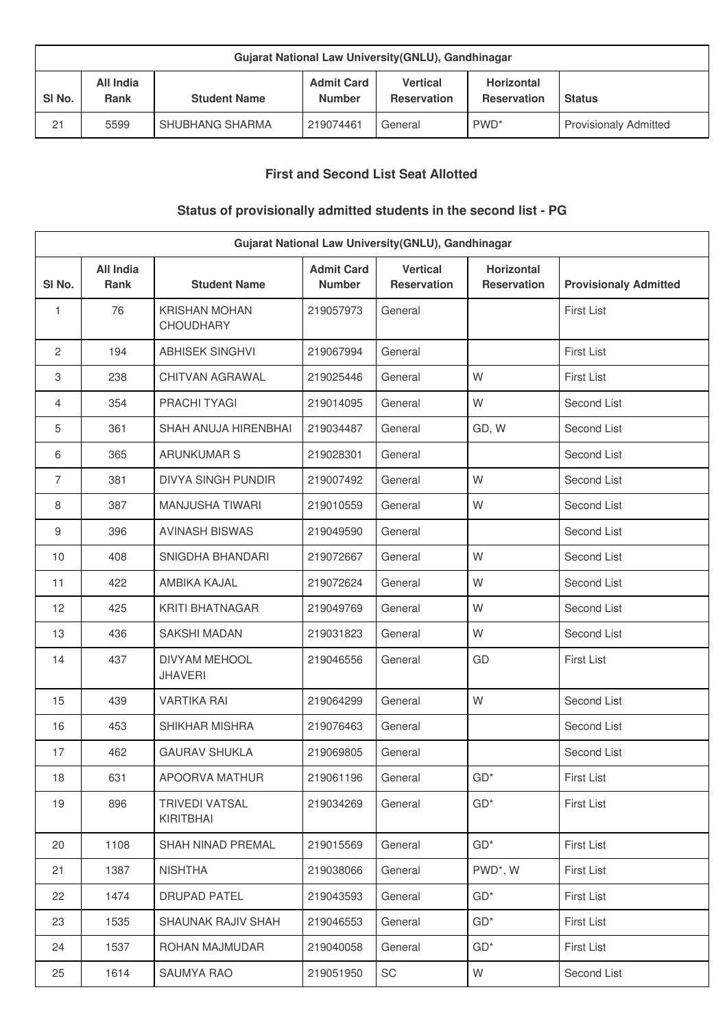| Gujarat National Law University (GNLU), Gandhinagar |                                 |                     |                                    |                                       |                                         |                              |
|-----------------------------------------------------|---------------------------------|---------------------|------------------------------------|---------------------------------------|-----------------------------------------|------------------------------|
| SI <sub>No.</sub>                                   | <b>All India</b><br><b>Rank</b> | <b>Student Name</b> | <b>Admit Card</b><br><b>Number</b> | <b>Vertical</b><br><b>Reservation</b> | <b>Horizontal</b><br><b>Reservation</b> | <b>Status</b>                |
| 21                                                  | 5599                            | SHUBHANG SHARMA     | 219074461                          | General                               | PWD <sup>*</sup>                        | <b>Provisionaly Admitted</b> |

### **First and Second List Seat Allotted**

# **Status of provisionally admitted students in the second list - PG**

| Gujarat National Law University(GNLU), Gandhinagar |                                 |                                          |                                    |                                |                                         |                              |
|----------------------------------------------------|---------------------------------|------------------------------------------|------------------------------------|--------------------------------|-----------------------------------------|------------------------------|
| SI No.                                             | <b>All India</b><br><b>Rank</b> | <b>Student Name</b>                      | <b>Admit Card</b><br><b>Number</b> | <b>Vertical</b><br>Reservation | <b>Horizontal</b><br><b>Reservation</b> | <b>Provisionaly Admitted</b> |
| 1                                                  | 76                              | <b>KRISHAN MOHAN</b><br><b>CHOUDHARY</b> | 219057973                          | General                        |                                         | <b>First List</b>            |
| 2                                                  | 194                             | <b>ABHISEK SINGHVI</b>                   | 219067994                          | General                        |                                         | <b>First List</b>            |
| 3                                                  | 238                             | CHITVAN AGRAWAL                          | 219025446                          | General                        | W                                       | First List                   |
| 4                                                  | 354                             | PRACHI TYAGI                             | 219014095                          | General                        | W                                       | Second List                  |
| 5                                                  | 361                             | SHAH ANUJA HIRENBHAI                     | 219034487                          | General                        | GD, W                                   | Second List                  |
| 6                                                  | 365                             | <b>ARUNKUMAR S</b>                       | 219028301                          | General                        |                                         | Second List                  |
| $\overline{7}$                                     | 381                             | <b>DIVYA SINGH PUNDIR</b>                | 219007492                          | General                        | W                                       | Second List                  |
| 8                                                  | 387                             | <b>MANJUSHA TIWARI</b>                   | 219010559                          | General                        | W                                       | Second List                  |
| 9                                                  | 396                             | <b>AVINASH BISWAS</b>                    | 219049590                          | General                        |                                         | Second List                  |
| 10                                                 | 408                             | SNIGDHA BHANDARI                         | 219072667                          | General                        | W                                       | Second List                  |
| 11                                                 | 422                             | AMBIKA KAJAL                             | 219072624                          | General                        | W                                       | Second List                  |
| 12                                                 | 425                             | <b>KRITI BHATNAGAR</b>                   | 219049769                          | General                        | W                                       | Second List                  |
| 13                                                 | 436                             | <b>SAKSHI MADAN</b>                      | 219031823                          | General                        | W                                       | Second List                  |
| 14                                                 | 437                             | <b>DIVYAM MEHOOL</b><br><b>JHAVERI</b>   | 219046556                          | General                        | GD                                      | <b>First List</b>            |
| 15                                                 | 439                             | <b>VARTIKA RAI</b>                       | 219064299                          | General                        | W                                       | Second List                  |
| 16                                                 | 453                             | SHIKHAR MISHRA                           | 219076463                          | General                        |                                         | Second List                  |
| 17                                                 | 462                             | <b>GAURAV SHUKLA</b>                     | 219069805                          | General                        |                                         | Second List                  |
| 18                                                 | 631                             | APOORVA MATHUR                           | 219061196                          | General                        | $GD*$                                   | First List                   |
| 19                                                 | 896                             | <b>TRIVEDI VATSAL</b><br>KIRITBHAI       | 219034269                          | General                        | $GD*$                                   | <b>First List</b>            |
| 20                                                 | 1108                            | SHAH NINAD PREMAL                        | 219015569                          | General                        | $GD^*$                                  | <b>First List</b>            |
| 21                                                 | 1387                            | <b>NISHTHA</b>                           | 219038066                          | General                        | PWD*, W                                 | <b>First List</b>            |
| 22                                                 | 1474                            | <b>DRUPAD PATEL</b>                      | 219043593                          | General                        | $GD^*$                                  | <b>First List</b>            |
| 23                                                 | 1535                            | SHAUNAK RAJIV SHAH                       | 219046553                          | General                        | $GD^*$                                  | <b>First List</b>            |
| 24                                                 | 1537                            | ROHAN MAJMUDAR                           | 219040058                          | General                        | $GD^*$                                  | <b>First List</b>            |
| 25                                                 | 1614                            | SAUMYA RAO                               | 219051950                          | SC                             | W                                       | Second List                  |